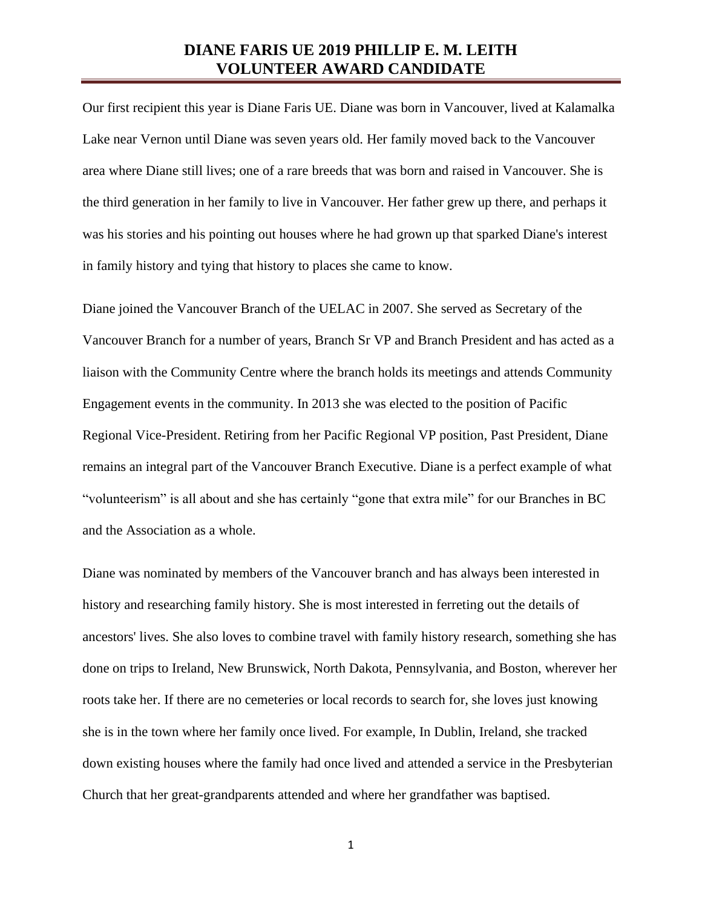## **DIANE FARIS UE 2019 PHILLIP E. M. LEITH VOLUNTEER AWARD CANDIDATE**

Our first recipient this year is Diane Faris UE. Diane was born in Vancouver, lived at Kalamalka Lake near Vernon until Diane was seven years old. Her family moved back to the Vancouver area where Diane still lives; one of a rare breeds that was born and raised in Vancouver. She is the third generation in her family to live in Vancouver. Her father grew up there, and perhaps it was his stories and his pointing out houses where he had grown up that sparked Diane's interest in family history and tying that history to places she came to know.

Diane joined the Vancouver Branch of the UELAC in 2007. She served as Secretary of the Vancouver Branch for a number of years, Branch Sr VP and Branch President and has acted as a liaison with the Community Centre where the branch holds its meetings and attends Community Engagement events in the community. In 2013 she was elected to the position of Pacific Regional Vice-President. Retiring from her Pacific Regional VP position, Past President, Diane remains an integral part of the Vancouver Branch Executive. Diane is a perfect example of what "volunteerism" is all about and she has certainly "gone that extra mile" for our Branches in BC and the Association as a whole.

Diane was nominated by members of the Vancouver branch and has always been interested in history and researching family history. She is most interested in ferreting out the details of ancestors' lives. She also loves to combine travel with family history research, something she has done on trips to Ireland, New Brunswick, North Dakota, Pennsylvania, and Boston, wherever her roots take her. If there are no cemeteries or local records to search for, she loves just knowing she is in the town where her family once lived. For example, In Dublin, Ireland, she tracked down existing houses where the family had once lived and attended a service in the Presbyterian Church that her great-grandparents attended and where her grandfather was baptised.